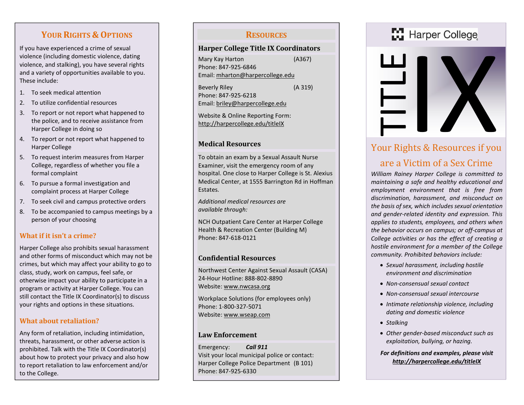# YOUR RIGHTS & OPTIONS

If you have experienced a crime of sexual violence (including domestic violence, dating violence, and stalking), you have several rights and a variety of opportunities available to you. These include:

- 1. To seek medical attention
- 2. To utilize confidential resources
- 3. To report or not report what happened to the police, and to receive assistance from Harper College in doing so
- 4. To report or not report what happened to Harper College
- 5. To request interim measures from Harper College, regardless of whether you file a formal complaint
- 6. To pursue a formal investigation and complaint process at Harper College
- 7. To seek civil and campus protective orders
- 8. To be accompanied to campus meetings by a person of your choosing

# What if it isn't a crime?

Harper College also prohibits sexual harassment and other forms of misconduct which may not be crimes, but which may affect your ability to go to class, study, work on campus, feel safe, or otherwise impact your ability to participate in a program or activity at Harper College. You can still contact the Title IX Coordinator(s) to discuss your rights and options in these situations.

# What about retaliation?

Any form of retaliation, including intimidation, threats, harassment, or other adverse action is prohibited. Talk with the Title IX Coordinator(s) about how to protect your privacy and also how to report retaliation to law enforcement and/or to the College.

# **RESOURCES**

#### Harper College Title IX Coordinators

| Mary Kay Harton                  | (A367) |
|----------------------------------|--------|
| Phone: 847-925-6846              |        |
| Email: mharton@harpercollege.edu |        |
| <b>Beverly Riley</b>             | (A319) |

Phone: 847-925-6218 Email: briley@harpercollege.edu

Website & Online Reporting Form: http://harpercollege.edu/titleIX

#### Medical Resources

To obtain an exam by a Sexual Assault Nurse Examiner, visit the emergency room of any hospital. One close to Harper College is St. Alexius Medical Center, at 1555 Barrington Rd in Hoffman Estates.

Additional medical resources are available through:

NCH Outpatient Care Center at Harper College Health & Recreation Center (Building M) Phone: 847-618-0121

#### Confidential Resources

Northwest Center Against Sexual Assault (CASA) 24-Hour Hotline: 888-802-8890 Website: www.nwcasa.org

Workplace Solutions (for employees only) Phone: 1-800-327-5071 Website: www.wseap.com

#### Law Enforcement

Emergency: Call 911 Visit your local municipal police or contact: Harper College Police Department (B 101) Phone: 847-925-6330

# Harper College



# Your Rights & Resources if you

# are a Victim of a Sex Crime

William Rainey Harper College is committed to maintaining a safe and healthy educational and employment environment that is free from discrimination, harassment, and misconduct on the basis of sex, which includes sexual orientation and gender-related identity and expression. This applies to students, employees, and others when the behavior occurs on campus; or off-campus at College activities or has the effect of creating a hostile environment for a member of the College community. Prohibited behaviors include:

- Sexual harassment, including hostile environment and discrimination
- Non-consensual sexual contact
- Non-consensual sexual intercourse
- Intimate relationship violence, including dating and domestic violence
- Stalking
- Other gender-based misconduct such as exploitation, bullying, or hazing.
- For definitions and examples, please visit http://harpercollege.edu/titleIX